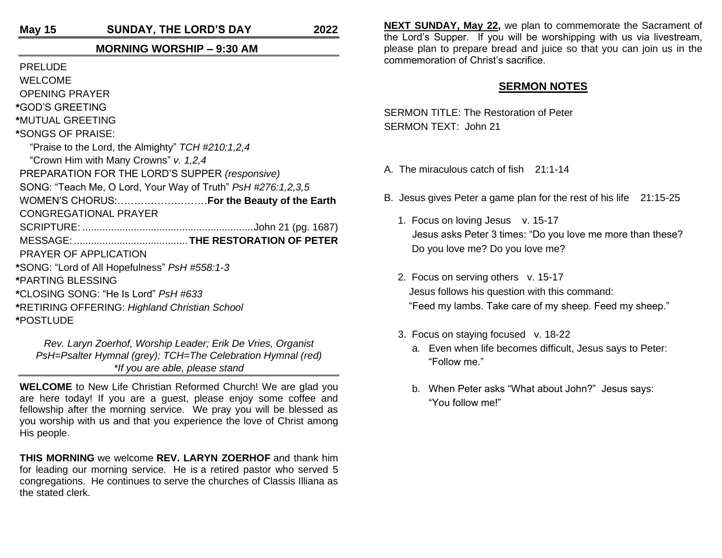**May 15 SUNDAY, THE LORD'S DAY 2022**

# **MORNING WORSHIP – 9:30 AM**

PRELUDE

WELCOME

OPENING PRAYER

**\***GOD'S GREETING

**\***MUTUAL GREETING

**\***SONGS OF PRAISE:

"Praise to the Lord, the Almighty" *TCH #210:1,2,4*

"Crown Him with Many Crowns" *v. 1,2,4*

PREPARATION FOR THE LORD'S SUPPER *(responsive)*

SONG: "Teach Me, O Lord, Your Way of Truth" *PsH #276:1,2,3,5*

WOMEN'S CHORUS:………………………**For the Beauty of the Earth**

CONGREGATIONAL PRAYER

SCRIPTURE: ............................................................John 21 (pg. 1687)

MESSAGE: ........................................ **THE RESTORATION OF PETER**

PRAYER OF APPLICATION

**\***SONG: "Lord of All Hopefulness" *PsH #558:1-3*

**\***PARTING BLESSING

**\***CLOSING SONG: "He Is Lord" *PsH #633*

**\***RETIRING OFFERING: *Highland Christian School* **\***POSTLUDE

*Rev. Laryn Zoerhof, Worship Leader; Erik De Vries, Organist PsH=Psalter Hymnal (grey); TCH=The Celebration Hymnal (red) \*If you are able, please stand*

**WELCOME** to New Life Christian Reformed Church! We are glad you are here today! If you are a guest, please enjoy some coffee and fellowship after the morning service. We pray you will be blessed as you worship with us and that you experience the love of Christ among His people.

**THIS MORNING** we welcome **REV. LARYN ZOERHOF** and thank him for leading our morning service. He is a retired pastor who served 5 congregations. He continues to serve the churches of Classis Illiana as the stated clerk.

**NEXT SUNDAY, May 22,** we plan to commemorate the Sacrament of the Lord's Supper. If you will be worshipping with us via livestream, please plan to prepare bread and juice so that you can join us in the commemoration of Christ's sacrifice.

# **SERMON NOTES**

SERMON TITLE: The Restoration of Peter SERMON TEXT: John 21

- A. The miraculous catch of fish 21:1-14
- B. Jesus gives Peter a game plan for the rest of his life 21:15-25
	- 1. Focus on loving Jesus v. 15-17 Jesus asks Peter 3 times: "Do you love me more than these? Do you love me? Do you love me?
	- 2. Focus on serving others v. 15-17 Jesus follows his question with this command: "Feed my lambs. Take care of my sheep. Feed my sheep."
	- 3. Focus on staying focused v. 18-22
		- a. Even when life becomes difficult, Jesus says to Peter: "Follow me."
		- b. When Peter asks "What about John?" Jesus says: "You follow me!"